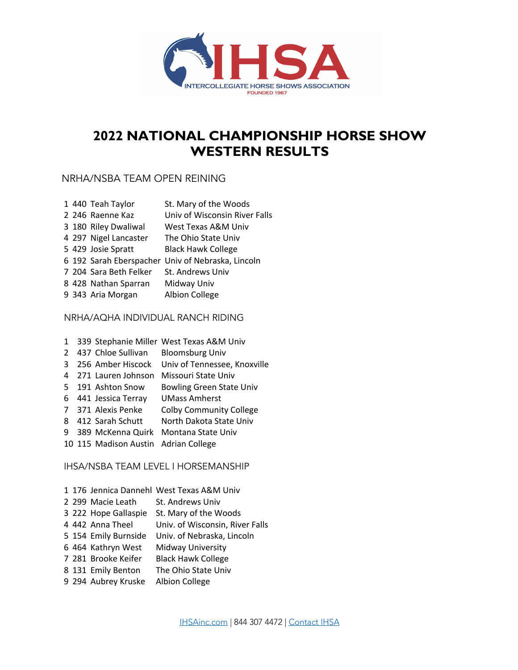

# **2022 NATIONAL CHAMPIONSHIP HORSE SHOW WESTERN RESULTS**

# NRHA/NSBA TEAM OPEN REINING

|  | 1 440 Teah Taylor      | St. Mary of the Woods                             |
|--|------------------------|---------------------------------------------------|
|  | 2 246 Raenne Kaz       | Univ of Wisconsin River Falls                     |
|  | 3 180 Riley Dwaliwal   | West Texas A&M Univ                               |
|  | 4 297 Nigel Lancaster  | The Ohio State Univ                               |
|  | 5 429 Josie Spratt     | <b>Black Hawk College</b>                         |
|  |                        | 6 192 Sarah Eberspacher Univ of Nebraska, Lincoln |
|  | 7 204 Sara Beth Felker | St. Andrews Univ                                  |
|  | 8 428 Nathan Sparran   | Midway Univ                                       |
|  | 9 343 Aria Morgan      | <b>Albion College</b>                             |

#### NRHA/AQHA INDIVIDUAL RANCH RIDING

|               |                                      | 1 339 Stephanie Miller West Texas A&M Univ     |
|---------------|--------------------------------------|------------------------------------------------|
| $\mathcal{L}$ |                                      | 437 Chloe Sullivan Bloomsburg Univ             |
| 3             |                                      | 256 Amber Hiscock Univ of Tennessee, Knoxville |
| 4             | 271 Lauren Johnson                   | Missouri State Univ                            |
| .5.           | 191 Ashton Snow                      | <b>Bowling Green State Univ</b>                |
| 6             | 441 Jessica Terray                   | <b>UMass Amherst</b>                           |
|               | 7 371 Alexis Penke                   | <b>Colby Community College</b>                 |
| 8             | 412 Sarah Schutt                     | North Dakota State Univ                        |
| 9             | 389 McKenna Quirk                    | Montana State Univ                             |
|               | 10 115 Madison Austin Adrian College |                                                |

## IHSA/NSBA TEAM LEVEL I HORSEMANSHIP

|  |                      | 1 176 Jennica Dannehl West Texas A&M Univ |
|--|----------------------|-------------------------------------------|
|  | 2 299 Macie Leath    | St. Andrews Univ                          |
|  | 3 222 Hope Gallaspie | St. Mary of the Woods                     |
|  | 4 442 Anna Theel     | Univ. of Wisconsin, River Falls           |
|  | 5 154 Emily Burnside | Univ. of Nebraska, Lincoln                |
|  | 6 464 Kathryn West   | Midway University                         |
|  | 7 281 Brooke Keifer  | <b>Black Hawk College</b>                 |
|  | 8 131 Emily Benton   | The Ohio State Univ                       |
|  | 9 294 Aubrey Kruske  | <b>Albion College</b>                     |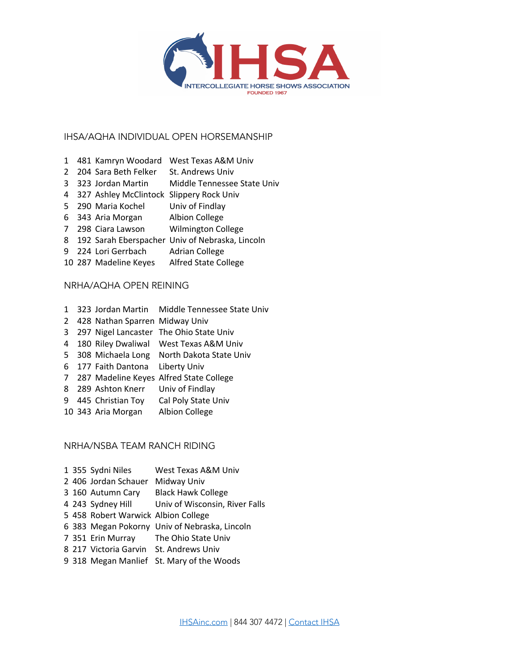

#### IHSA/AQHA INDIVIDUAL OPEN HORSEMANSHIP

- 481 Kamryn Woodard West Texas A&M Univ
- 2 204 Sara Beth Felker St. Andrews Univ
- 323 Jordan Martin Middle Tennessee State Univ
- 327 Ashley McClintock Slippery Rock Univ
- 290 Maria Kochel Univ of Findlay
- 343 Aria Morgan Albion College
- 298 Ciara Lawson Wilmington College
- 192 Sarah Eberspacher Univ of Nebraska, Lincoln
- 9 224 Lori Gerrbach Adrian College
- 287 Madeline Keyes Alfred State College

#### NRHA/AQHA OPEN REINING

- 323 Jordan Martin Middle Tennessee State Univ
- 428 Nathan Sparren Midway Univ
- 297 Nigel Lancaster The Ohio State Univ
- 180 Riley Dwaliwal West Texas A&M Univ
- 308 Michaela Long North Dakota State Univ
- 177 Faith Dantona Liberty Univ
- 287 Madeline Keyes Alfred State College
- 289 Ashton Knerr Univ of Findlay
- 445 Christian Toy Cal Poly State Univ
- 343 Aria Morgan Albion College

#### NRHA/NSBA TEAM RANCH RIDING

 355 Sydni Niles West Texas A&M Univ 406 Jordan Schauer Midway Univ 160 Autumn Cary Black Hawk College 243 Sydney Hill Univ of Wisconsin, River Falls 458 Robert Warwick Albion College 383 Megan Pokorny Univ of Nebraska, Lincoln 351 Erin Murray The Ohio State Univ 217 Victoria Garvin St. Andrews Univ 318 Megan Manlief St. Mary of the Woods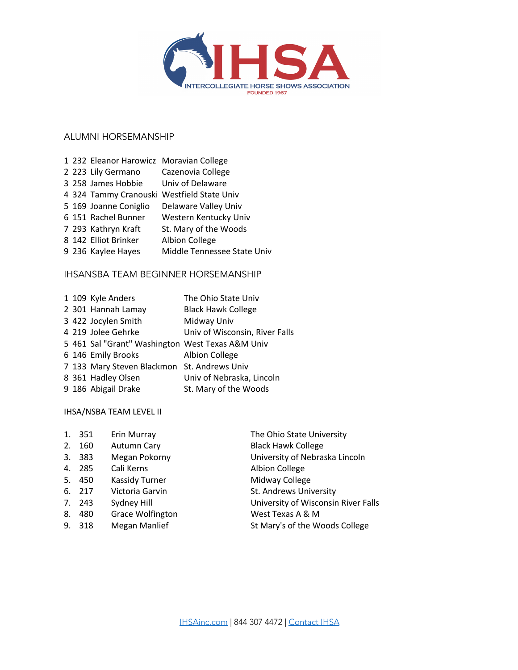

## ALUMNI HORSEMANSHIP

|  | 1 232 Eleanor Harowicz Moravian College |                                            |
|--|-----------------------------------------|--------------------------------------------|
|  | 2 223 Lily Germano                      | Cazenovia College                          |
|  | 3 258 James Hobbie                      | Univ of Delaware                           |
|  |                                         | 4 324 Tammy Cranouski Westfield State Univ |
|  | 5 169 Joanne Coniglio                   | Delaware Valley Univ                       |
|  | 6 151 Rachel Bunner                     | Western Kentucky Univ                      |
|  | 7 293 Kathryn Kraft                     | St. Mary of the Woods                      |
|  | 8 142 Elliot Brinker                    | <b>Albion College</b>                      |
|  | 9 236 Kaylee Hayes                      | Middle Tennessee State Univ                |
|  |                                         |                                            |

#### IHSANSBA TEAM BEGINNER HORSEMANSHIP

|  | 1 109 Kyle Anders                                | The Ohio State Univ            |
|--|--------------------------------------------------|--------------------------------|
|  | 2 301 Hannah Lamay                               | <b>Black Hawk College</b>      |
|  | 3 422 Jocylen Smith                              | Midway Univ                    |
|  | 4 219 Jolee Gehrke                               | Univ of Wisconsin, River Falls |
|  | 5 461 Sal "Grant" Washington West Texas A&M Univ |                                |
|  | 6 146 Emily Brooks                               | <b>Albion College</b>          |
|  | 7 133 Mary Steven Blackmon St. Andrews Univ      |                                |
|  | 8 361 Hadley Olsen                               | Univ of Nebraska, Lincoln      |
|  | 9 186 Abigail Drake                              | St. Mary of the Woods          |
|  |                                                  |                                |

#### IHSA/NSBA TEAM LEVEL II

|    | 1. 351 | Erin Murray           | The Ohio State University           |
|----|--------|-----------------------|-------------------------------------|
|    | 2. 160 | Autumn Cary           | <b>Black Hawk College</b>           |
|    | 3. 383 | Megan Pokorny         | University of Nebraska Lincoln      |
|    | 4. 285 | Cali Kerns            | <b>Albion College</b>               |
|    | 5. 450 | <b>Kassidy Turner</b> | Midway College                      |
|    | 6. 217 | Victoria Garvin       | St. Andrews University              |
|    | 7. 243 | Sydney Hill           | University of Wisconsin River Falls |
| 8. | 480    | Grace Wolfington      | West Texas A & M                    |
|    | 9. 318 | Megan Manlief         | St Mary's of the Woods College      |
|    |        |                       |                                     |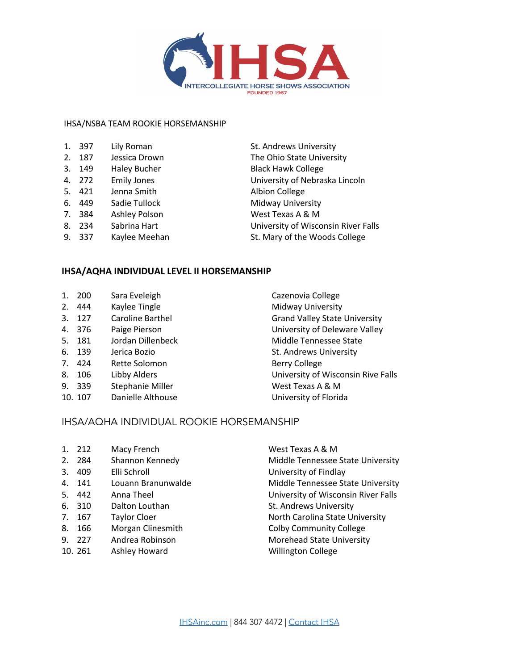

#### IHSA/NSBA TEAM ROOKIE HORSEMANSHIP

| 1. | 397 | Lily Roman                |
|----|-----|---------------------------|
| 2. | 187 | Jessica Drown             |
| 3. | 149 | <b>Haley Bucher</b>       |
| 4. | 272 | <b>Emily Jones</b>        |
| 5. | 421 | Jenna Smith               |
| 6. | 449 | Sadie Tullock             |
| 7. | 384 | <b>Ashley Polson</b>      |
| 8. | 234 | Sabrina Hart              |
| ⌒  | ີ່  | مطمعة فالمتحاربة فالمراجع |

St. Andrews University The Ohio State University **Black Hawk College** University of Nebraska Lincoln Albion College Midway University West Texas A & M University of Wisconsin River Falls 9. 337 Kaylee Meehan St. Mary of the Woods College

#### **IHSA/AQHA INDIVIDUAL LEVEL II HORSEMANSHIP**

| ı. | 200 | Sara Eveleigh |
|----|-----|---------------|
|    |     |               |

- 2. 444 Kaylee Tingle Midway University
- 
- 
- 5. 181 Jordan Dillenbeck Middle Tennessee State
- 6. 139 Jerica Bozio St. Andrews University
- 7. 424 Rette Solomon Berry College
- 
- 9. 339 Stephanie Miller West Texas A & M
- 10. 107 Danielle Althouse University of Florida
- Cazenovia College 3. 127 Caroline Barthel Grand Valley State University 4. 376 Paige Pierson University of Deleware Valley 8. 106 Libby Alders **Exercise State State Constructs** University of Wisconsin Rive Falls

#### IHSA/AQHA INDIVIDUAL ROOKIE HORSEMANSHIP

- 1. 212 Macy French West Texas A & M
- 
- 3. 409 Elli Schroll University of Findlay
- 
- 
- 6. 310 Dalton Louthan St. Andrews University
- 
- 8. 166 Morgan Clinesmith Colby Community College
- 
- 10. 261 Ashley Howard Willington College
- 2. 284 Shannon Kennedy Middle Tennessee State University 4. 141 Louann Branunwalde Middle Tennessee State University 5. 442 Anna Theel University of Wisconsin River Falls 7. 167 Taylor Cloer North Carolina State University 9. 227 Andrea Robinson Morehead State University